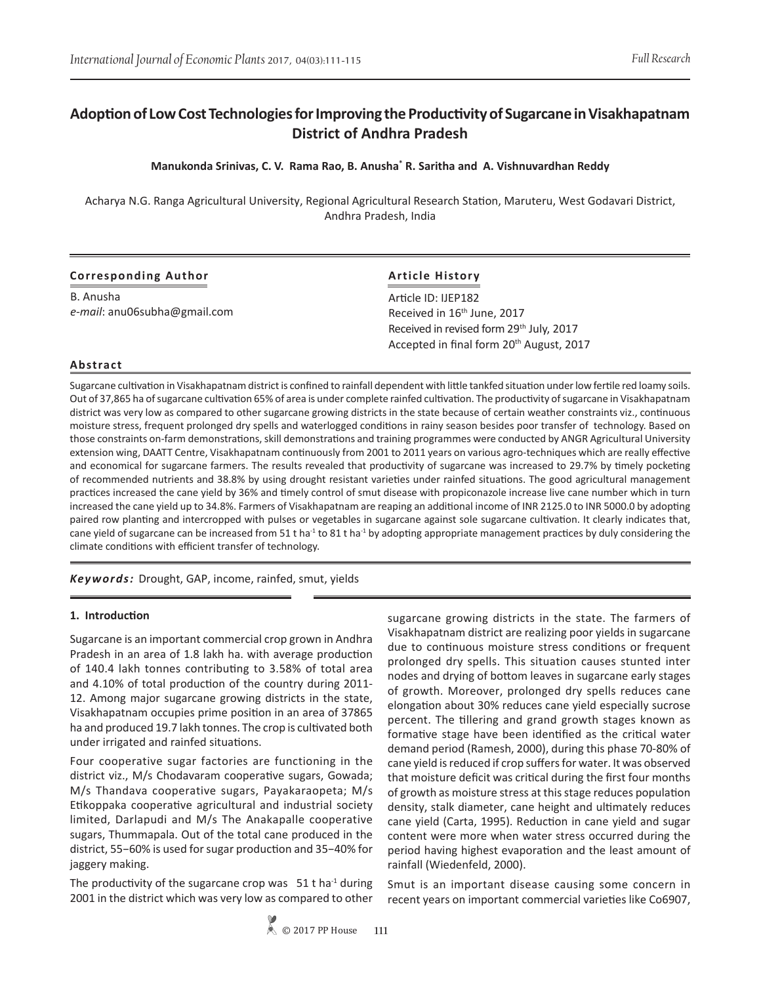# **Adoption of Low Cost Technologies for Improving the Productivity of Sugarcane in Visakhapatnam District of Andhra Pradesh**

## **Manukonda Srinivas, C. V. Rama Rao, B. Anusha\* R. Saritha and A. Vishnuvardhan Reddy**

Acharya N.G. Ranga Agricultural University, Regional Agricultural Research Station, Maruteru, West Godavari District, Andhra Pradesh, India

| <b>Corresponding Author</b>  | <b>Article History</b>                               |  |
|------------------------------|------------------------------------------------------|--|
| B. Anusha                    | Article ID: IJEP182                                  |  |
| e-mail: anu06subha@gmail.com | Received in 16 <sup>th</sup> June, 2017              |  |
|                              | Received in revised form 29 <sup>th</sup> July, 2017 |  |
|                              | Accepted in final form 20 <sup>th</sup> August, 2017 |  |

#### **Abstract**

Sugarcane cultivation in Visakhapatnam district is confined to rainfall dependent with little tankfed situation under low fertile red loamy soils. Out of 37,865 ha of sugarcane cultivation 65% of area is under complete rainfed cultivation. The productivity of sugarcane in Visakhapatnam district was very low as compared to other sugarcane growing districts in the state because of certain weather constraints viz., continuous moisture stress, frequent prolonged dry spells and waterlogged conditions in rainy season besides poor transfer of technology. Based on those constraints on-farm demonstrations, skill demonstrations and training programmes were conducted by ANGR Agricultural University extension wing, DAATT Centre, Visakhapatnam continuously from 2001 to 2011 years on various agro-techniques which are really effective and economical for sugarcane farmers. The results revealed that productivity of sugarcane was increased to 29.7% by timely pocketing of recommended nutrients and 38.8% by using drought resistant varieties under rainfed situations. The good agricultural management practices increased the cane yield by 36% and timely control of smut disease with propiconazole increase live cane number which in turn increased the cane yield up to 34.8%. Farmers of Visakhapatnam are reaping an additional income of INR 2125.0 to INR 5000.0 by adopting paired row planting and intercropped with pulses or vegetables in sugarcane against sole sugarcane cultivation. It clearly indicates that, cane yield of sugarcane can be increased from 51 t ha<sup>-1</sup> to 81 t ha<sup>-1</sup> by adopting appropriate management practices by duly considering the climate conditions with efficient transfer of technology.

*Keywords:* Drought, GAP, income, rainfed, smut, yields

#### **1. Introduction**

Sugarcane is an important commercial crop grown in Andhra Pradesh in an area of 1.8 lakh ha. with average production of 140.4 lakh tonnes contributing to 3.58% of total area and 4.10% of total production of the country during 2011- 12. Among major sugarcane growing districts in the state, Visakhapatnam occupies prime position in an area of 37865 ha and produced 19.7 lakh tonnes. The crop is cultivated both under irrigated and rainfed situations.

Four cooperative sugar factories are functioning in the district viz., M/s Chodavaram cooperative sugars, Gowada; M/s Thandava cooperative sugars, Payakaraopeta; M/s Etikoppaka cooperative agricultural and industrial society limited, Darlapudi and M/s The Anakapalle cooperative sugars, Thummapala. Out of the total cane produced in the district, 55−60% is used for sugar production and 35−40% for jaggery making.

The productivity of the sugarcane crop was  $51$  t ha<sup>-1</sup> during 2001 in the district which was very low as compared to other sugarcane growing districts in the state. The farmers of Visakhapatnam district are realizing poor yields in sugarcane due to continuous moisture stress conditions or frequent prolonged dry spells. This situation causes stunted inter nodes and drying of bottom leaves in sugarcane early stages of growth. Moreover, prolonged dry spells reduces cane elongation about 30% reduces cane yield especially sucrose percent. The tillering and grand growth stages known as formative stage have been identified as the critical water demand period (Ramesh, 2000), during this phase 70-80% of cane yield is reduced if crop suffers for water. It was observed that moisture deficit was critical during the first four months of growth as moisture stress at this stage reduces population density, stalk diameter, cane height and ultimately reduces cane yield (Carta, 1995). Reduction in cane yield and sugar content were more when water stress occurred during the period having highest evaporation and the least amount of rainfall (Wiedenfeld, 2000).

Smut is an important disease causing some concern in recent years on important commercial varieties like Co6907,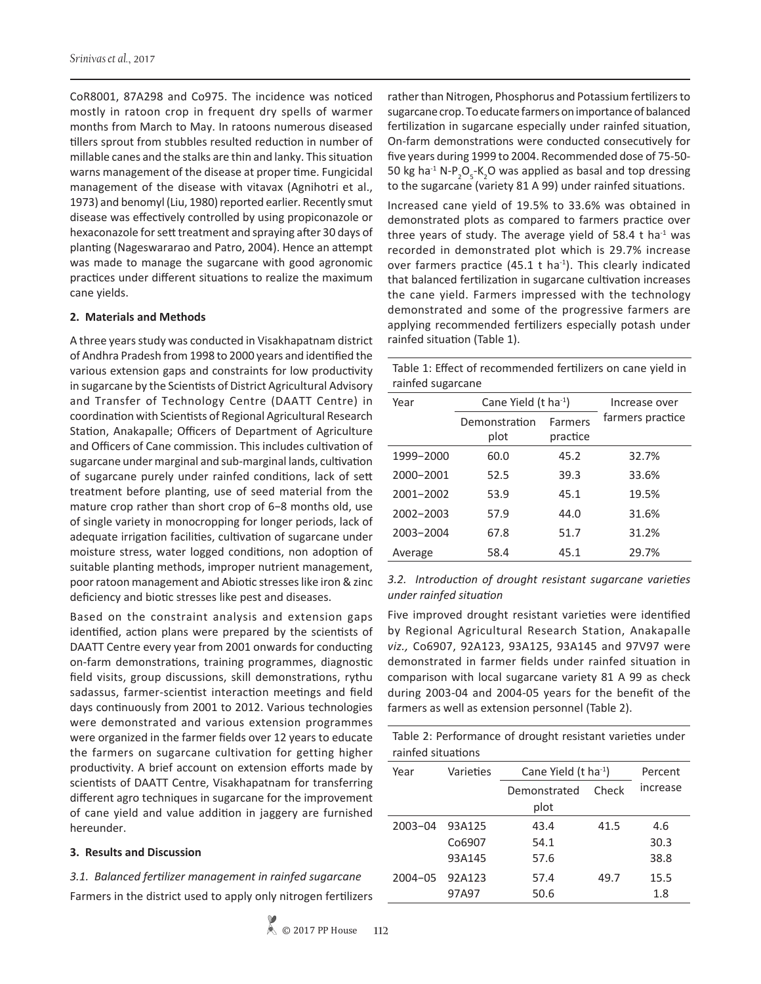CoR8001, 87A298 and Co975. The incidence was noticed mostly in ratoon crop in frequent dry spells of warmer months from March to May. In ratoons numerous diseased tillers sprout from stubbles resulted reduction in number of millable canes and the stalks are thin and lanky. This situation warns management of the disease at proper time. Fungicidal management of the disease with vitavax (Agnihotri et al., 1973) and benomyl (Liu, 1980) reported earlier. Recently smut disease was effectively controlled by using propiconazole or hexaconazole for sett treatment and spraying after 30 days of planting (Nageswararao and Patro, 2004). Hence an attempt was made to manage the sugarcane with good agronomic practices under different situations to realize the maximum cane yields.

#### **2. Materials and Methods**

A three years study was conducted in Visakhapatnam district of Andhra Pradesh from 1998 to 2000 years and identified the various extension gaps and constraints for low productivity in sugarcane by the Scientists of District Agricultural Advisory and Transfer of Technology Centre (DAATT Centre) in coordination with Scientists of Regional Agricultural Research Station, Anakapalle; Officers of Department of Agriculture and Officers of Cane commission. This includes cultivation of sugarcane under marginal and sub-marginal lands, cultivation of sugarcane purely under rainfed conditions, lack of sett treatment before planting, use of seed material from the mature crop rather than short crop of 6−8 months old, use of single variety in monocropping for longer periods, lack of adequate irrigation facilities, cultivation of sugarcane under moisture stress, water logged conditions, non adoption of suitable planting methods, improper nutrient management, poor ratoon management and Abiotic stresses like iron & zinc deficiency and biotic stresses like pest and diseases.

Based on the constraint analysis and extension gaps identified, action plans were prepared by the scientists of DAATT Centre every year from 2001 onwards for conducting on-farm demonstrations, training programmes, diagnostic field visits, group discussions, skill demonstrations, rythu sadassus, farmer-scientist interaction meetings and field days continuously from 2001 to 2012. Various technologies were demonstrated and various extension programmes were organized in the farmer fields over 12 years to educate the farmers on sugarcane cultivation for getting higher productivity. A brief account on extension efforts made by scientists of DAATT Centre, Visakhapatnam for transferring different agro techniques in sugarcane for the improvement of cane yield and value addition in jaggery are furnished hereunder.

#### **3. Results and Discussion**

*3.1. Balanced fertilizer management in rainfed sugarcane*  Farmers in the district used to apply only nitrogen fertilizers rather than Nitrogen, Phosphorus and Potassium fertilizers to sugarcane crop. To educate farmers on importance of balanced fertilization in sugarcane especially under rainfed situation, On-farm demonstrations were conducted consecutively for five years during 1999 to 2004. Recommended dose of 75-50- 50 kg ha<sup>-1</sup> N-P<sub>2</sub>O<sub>5</sub>-K<sub>2</sub>O was applied as basal and top dressing to the sugarcane (variety 81 A 99) under rainfed situations.

Increased cane yield of 19.5% to 33.6% was obtained in demonstrated plots as compared to farmers practice over three years of study. The average yield of 58.4 t ha<sup>-1</sup> was recorded in demonstrated plot which is 29.7% increase over farmers practice (45.1  $t$  ha<sup>-1</sup>). This clearly indicated that balanced fertilization in sugarcane cultivation increases the cane yield. Farmers impressed with the technology demonstrated and some of the progressive farmers are applying recommended fertilizers especially potash under rainfed situation (Table 1).

Table 1: Effect of recommended fertilizers on cane yield in rainfed sugarcane

| Year      | Cane Yield $(t \text{ ha}^{-1})$ | Increase over       |                  |
|-----------|----------------------------------|---------------------|------------------|
|           | Demonstration<br>plot            | Farmers<br>practice | farmers practice |
| 1999-2000 | 60.0                             | 45.2                | 32.7%            |
| 2000-2001 | 52.5                             | 39.3                | 33.6%            |
| 2001-2002 | 53.9                             | 45.1                | 19.5%            |
| 2002-2003 | 57.9                             | 44.0                | 31.6%            |
| 2003-2004 | 67.8                             | 51.7                | 31.2%            |
| Average   | 58.4                             | 45.1                | 29.7%            |

*3.2. Introduction of drought resistant sugarcane varieties under rainfed situation*

Five improved drought resistant varieties were identified by Regional Agricultural Research Station, Anakapalle *viz.,* Co6907, 92A123, 93A125, 93A145 and 97V97 were demonstrated in farmer fields under rainfed situation in comparison with local sugarcane variety 81 A 99 as check during 2003-04 and 2004-05 years for the benefit of the farmers as well as extension personnel (Table 2).

Table 2: Performance of drought resistant varieties under rainfed situations

| Year        | Varieties | Cane Yield $(t \text{ ha}^{-1})$ | Percent |          |
|-------------|-----------|----------------------------------|---------|----------|
|             |           | Check<br>Demonstrated            |         | increase |
|             |           | plot                             |         |          |
| $2003 - 04$ | 93A125    | 43.4                             | 41.5    | 4.6      |
|             | Co6907    | 54.1                             |         | 30.3     |
|             | 93A145    | 57.6                             |         | 38.8     |
| $2004 - 05$ | 92A123    | 57.4                             | 49.7    | 15.5     |
|             | 97A97     | 50.6                             |         | 1.8      |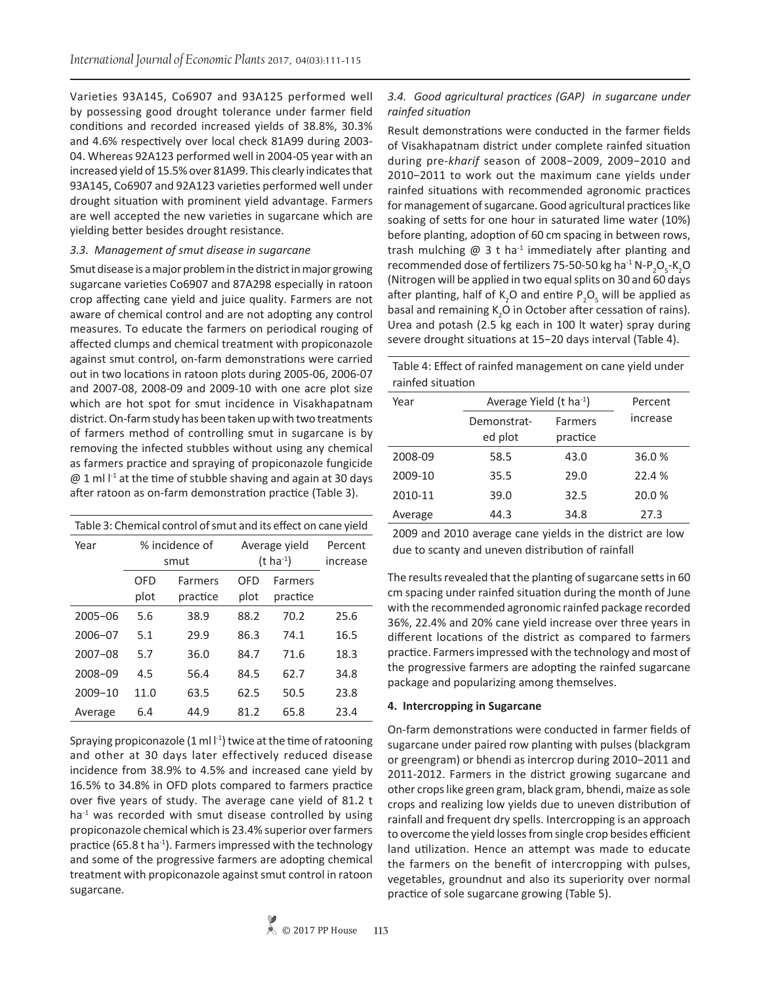Varieties 93A145, Co6907 and 93A125 performed well by possessing good drought tolerance under farmer field conditions and recorded increased yields of 38.8%, 30.3% and 4.6% respectively over local check 81A99 during 2003- 04. Whereas 92A123 performed well in 2004-05 year with an increased yield of 15.5% over 81A99. This clearly indicates that 93A145, Co6907 and 92A123 varieties performed well under drought situation with prominent yield advantage. Farmers are well accepted the new varieties in sugarcane which are yielding better besides drought resistance.

## *3.3. Management of smut disease in sugarcane*

Smut disease is a major problem in the district in major growing sugarcane varieties Co6907 and 87A298 especially in ratoon crop affecting cane yield and juice quality. Farmers are not aware of chemical control and are not adopting any control measures. To educate the farmers on periodical rouging of affected clumps and chemical treatment with propiconazole against smut control, on-farm demonstrations were carried out in two locations in ratoon plots during 2005-06, 2006-07 and 2007-08, 2008-09 and 2009-10 with one acre plot size which are hot spot for smut incidence in Visakhapatnam district. On-farm study has been taken up with two treatments of farmers method of controlling smut in sugarcane is by removing the infected stubbles without using any chemical as farmers practice and spraying of propiconazole fungicide  $@1$  ml  $I<sup>-1</sup>$  at the time of stubble shaving and again at 30 days after ratoon as on-farm demonstration practice (Table 3).

| Table 3: Chemical control of smut and its effect on cane yield |                        |                     |                                        |                            |                     |
|----------------------------------------------------------------|------------------------|---------------------|----------------------------------------|----------------------------|---------------------|
| Year                                                           | % incidence of<br>smut |                     | Average yield<br>$(t \text{ ha}^{-1})$ |                            | Percent<br>increase |
|                                                                | <b>OFD</b><br>plot     | Farmers<br>practice | OFD<br>plot                            | <b>Farmers</b><br>practice |                     |
| $2005 - 06$                                                    | 5.6                    | 38.9                | 88.2                                   | 70.2                       | 25.6                |
| $2006 - 07$                                                    | 5.1                    | 29.9                | 86.3                                   | 74.1                       | 16.5                |
| $2007 - 08$                                                    | 5.7                    | 36.0                | 84.7                                   | 71.6                       | 18.3                |
| $2008 - 09$                                                    | 4.5                    | 56.4                | 84.5                                   | 62.7                       | 34.8                |
| $2009 - 10$                                                    | 11.0                   | 63.5                | 62.5                                   | 50.5                       | 23.8                |
| Average                                                        | 6.4                    | 44.9                | 81.2                                   | 65.8                       | 23.4                |

Spraying propiconazole  $(1 \text{ ml } l^{-1})$  twice at the time of ratooning and other at 30 days later effectively reduced disease incidence from 38.9% to 4.5% and increased cane yield by 16.5% to 34.8% in OFD plots compared to farmers practice over five years of study. The average cane yield of 81.2 t  $ha<sup>-1</sup>$  was recorded with smut disease controlled by using propiconazole chemical which is 23.4% superior over farmers practice (65.8 t ha<sup>-1</sup>). Farmers impressed with the technology and some of the progressive farmers are adopting chemical treatment with propiconazole against smut control in ratoon sugarcane.

## *3.4. Good agricultural practices (GAP) in sugarcane under rainfed situation*

Result demonstrations were conducted in the farmer fields of Visakhapatnam district under complete rainfed situation during pre-*kharif* season of 2008−2009, 2009−2010 and 2010−2011 to work out the maximum cane yields under rainfed situations with recommended agronomic practices for management of sugarcane. Good agricultural practices like soaking of setts for one hour in saturated lime water (10%) before planting, adoption of 60 cm spacing in between rows, trash mulching  $\omega$  3 t ha<sup>-1</sup> immediately after planting and recommended dose of fertilizers 75-50-50 kg ha<sup>-1</sup> N-P<sub>2</sub>O<sub>5</sub>-K<sub>2</sub>O (Nitrogen will be applied in two equal splits on 30 and 60 days after planting, half of  $K_2O$  and entire  $P_2O_5$  will be applied as basal and remaining  $K_2O$  in October after cessation of rains). Urea and potash (2.5 kg each in 100 lt water) spray during severe drought situations at 15−20 days interval (Table 4).

Table 4: Effect of rainfed management on cane yield under rainfed situation

| Year    | Average Yield $(t \text{ ha}^{-1})$ |                     | Percent  |
|---------|-------------------------------------|---------------------|----------|
|         | Demonstrat-<br>ed plot              | Farmers<br>practice | increase |
| 2008-09 | 58.5                                | 43.0                | 36.0%    |
| 2009-10 | 35.5                                | 29.0                | 22.4 %   |
| 2010-11 | 39.0                                | 32.5                | 20.0%    |
| Average | 44.3                                | 34.8                | 27.3     |

2009 and 2010 average cane yields in the district are low due to scanty and uneven distribution of rainfall

The results revealed that the planting of sugarcane setts in 60 cm spacing under rainfed situation during the month of June with the recommended agronomic rainfed package recorded 36%, 22.4% and 20% cane yield increase over three years in different locations of the district as compared to farmers practice. Farmers impressed with the technology and most of the progressive farmers are adopting the rainfed sugarcane package and popularizing among themselves.

## **4. Intercropping in Sugarcane**

On-farm demonstrations were conducted in farmer fields of sugarcane under paired row planting with pulses (blackgram or greengram) or bhendi as intercrop during 2010−2011 and 2011-2012. Farmers in the district growing sugarcane and other crops like green gram, black gram, bhendi, maize as sole crops and realizing low yields due to uneven distribution of rainfall and frequent dry spells. Intercropping is an approach to overcome the yield losses from single crop besides efficient land utilization. Hence an attempt was made to educate the farmers on the benefit of intercropping with pulses, vegetables, groundnut and also its superiority over normal practice of sole sugarcane growing (Table 5).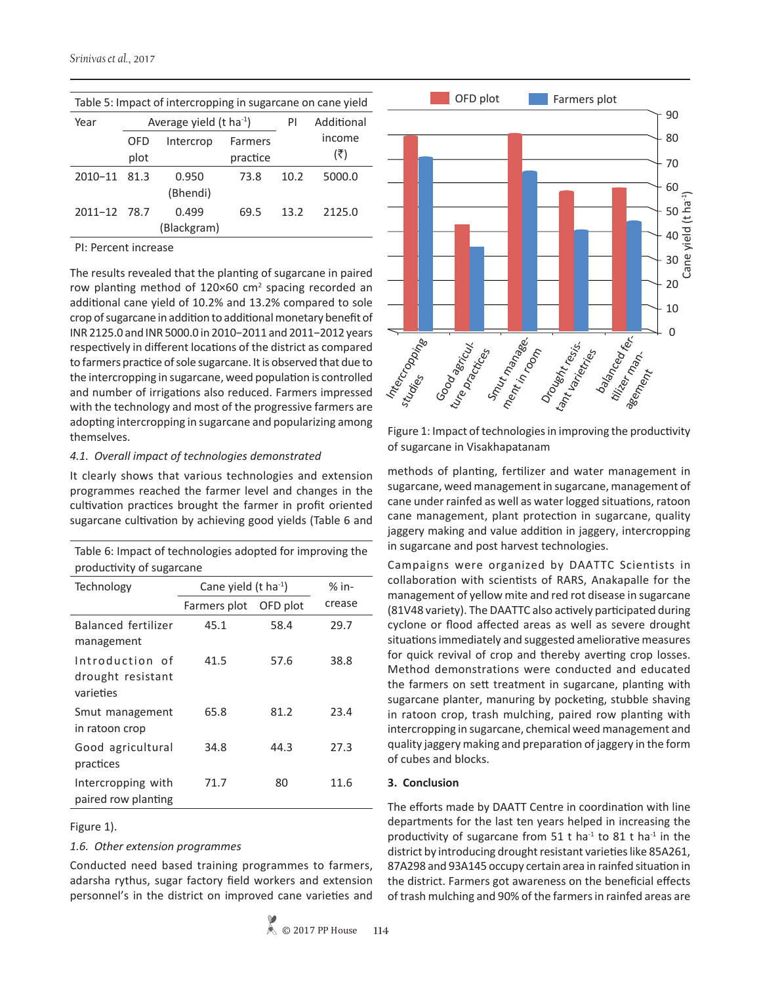| Table 5: Impact of intercropping in sugarcane on cane yield |      |                                     |          |      |            |
|-------------------------------------------------------------|------|-------------------------------------|----------|------|------------|
| Year                                                        |      | Average yield $(t \text{ ha}^{-1})$ |          |      | Additional |
|                                                             | OFD  | Intercrop                           | Farmers  |      | income     |
|                                                             | plot |                                     | practice |      | (₹)        |
| 2010-11 81.3                                                |      | 0.950<br>(Bhendi)                   | 73.8     | 10.2 | 5000.0     |
| 2011-12 78.7                                                |      | 0.499<br>(Blackgram)                | 69.5     | 13.2 | 2125.0     |

## Table 5: Impact of intercropping in sugarcane on cane yield

#### PI: Percent increase

The results revealed that the planting of sugarcane in paired row planting method of  $120\times60$  cm<sup>2</sup> spacing recorded an additional cane yield of 10.2% and 13.2% compared to sole crop of sugarcane in addition to additional monetary benefit of INR 2125.0 and INR 5000.0 in 2010−2011 and 2011−2012 years respectively in different locations of the district as compared to farmers practice of sole sugarcane. It is observed that due to the intercropping in sugarcane, weed population is controlled and number of irrigations also reduced. Farmers impressed with the technology and most of the progressive farmers are adopting intercropping in sugarcane and popularizing among themselves.

#### *4.1. Overall impact of technologies demonstrated*

It clearly shows that various technologies and extension programmes reached the farmer level and changes in the cultivation practices brought the farmer in profit oriented sugarcane cultivation by achieving good yields (Table 6 and

| Table 6: Impact of technologies adopted for improving the |
|-----------------------------------------------------------|
| productivity of sugarcane                                 |

| Technology                                        | Cane yield $(t \text{ ha}^{-1})$ |          | $%$ in- |
|---------------------------------------------------|----------------------------------|----------|---------|
|                                                   | Farmers plot                     | OFD plot | crease  |
| Balanced fertilizer<br>management                 | 45.1                             | 58.4     | 29.7    |
| Introduction of<br>drought resistant<br>varieties | 41.5                             | 57.6     | 38.8    |
| Smut management<br>in ratoon crop                 | 65.8                             | 81.2     | 23.4    |
| Good agricultural<br>practices                    | 34.8                             | 44.3     | 27.3    |
| Intercropping with<br>paired row planting         | 71.7                             | 80       | 11.6    |

## Figure 1).

## *1.6. Other extension programmes*

Conducted need based training programmes to farmers, adarsha rythus, sugar factory field workers and extension personnel's in the district on improved cane varieties and



Figure 1: Impact of technologies in improving the productivity of sugarcane in Visakhapatanam

methods of planting, fertilizer and water management in sugarcane, weed management in sugarcane, management of cane under rainfed as well as water logged situations, ratoon cane management, plant protection in sugarcane, quality jaggery making and value addition in jaggery, intercropping in sugarcane and post harvest technologies.

Campaigns were organized by DAATTC Scientists in collaboration with scientists of RARS, Anakapalle for the management of yellow mite and red rot disease in sugarcane (81V48 variety). The DAATTC also actively participated during cyclone or flood affected areas as well as severe drought situations immediately and suggested ameliorative measures for quick revival of crop and thereby averting crop losses. Method demonstrations were conducted and educated the farmers on sett treatment in sugarcane, planting with sugarcane planter, manuring by pocketing, stubble shaving in ratoon crop, trash mulching, paired row planting with intercropping in sugarcane, chemical weed management and quality jaggery making and preparation of jaggery in the form of cubes and blocks.

## **3. Conclusion**

The efforts made by DAATT Centre in coordination with line departments for the last ten years helped in increasing the productivity of sugarcane from 51 t ha<sup>-1</sup> to 81 t ha<sup>-1</sup> in the district by introducing drought resistant varieties like 85A261, 87A298 and 93A145 occupy certain area in rainfed situation in the district. Farmers got awareness on the beneficial effects of trash mulching and 90% of the farmers in rainfed areas are